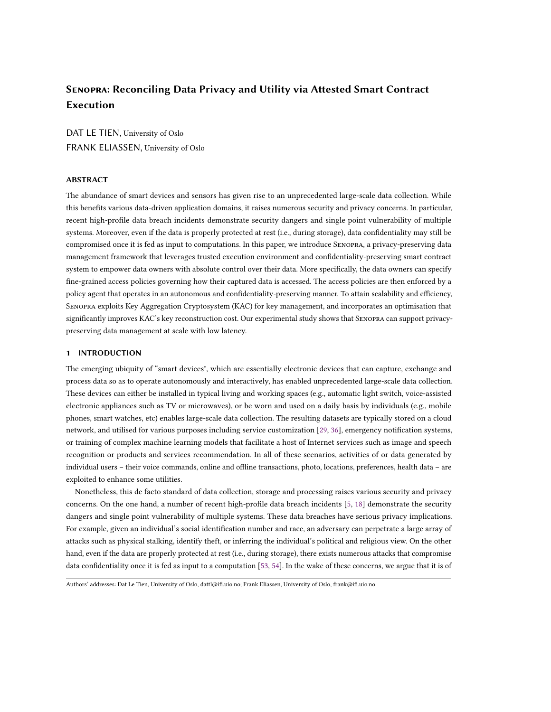# Senopra: Reconciling Data Privacy and Utility via Attested Smart Contract Execution

DAT LE TIEN, University of Oslo FRANK ELIASSEN, University of Oslo

## ABSTRACT

The abundance of smart devices and sensors has given rise to an unprecedented large-scale data collection. While this benefits various data-driven application domains, it raises numerous security and privacy concerns. In particular, recent high-profile data breach incidents demonstrate security dangers and single point vulnerability of multiple systems. Moreover, even if the data is properly protected at rest (i.e., during storage), data confidentiality may still be compromised once it is fed as input to computations. In this paper, we introduce Senopra, a privacy-preserving data management framework that leverages trusted execution environment and confidentiality-preserving smart contract system to empower data owners with absolute control over their data. More specifically, the data owners can specify fine-grained access policies governing how their captured data is accessed. The access policies are then enforced by a policy agent that operates in an autonomous and confidentiality-preserving manner. To attain scalability and efficiency, Senopra exploits Key Aggregation Cryptosystem (KAC) for key management, and incorporates an optimisation that significantly improves KAC's key reconstruction cost. Our experimental study shows that Senopra can support privacypreserving data management at scale with low latency.

# 1 INTRODUCTION

The emerging ubiquity of "smart devices", which are essentially electronic devices that can capture, exchange and process data so as to operate autonomously and interactively, has enabled unprecedented large-scale data collection. These devices can either be installed in typical living and working spaces (e.g., automatic light switch, voice-assisted electronic appliances such as TV or microwaves), or be worn and used on a daily basis by individuals (e.g., mobile phones, smart watches, etc) enables large-scale data collection. The resulting datasets are typically stored on a cloud network, and utilised for various purposes including service customization [\[29,](#page-19-0) [36\]](#page-20-0), emergency notification systems, or training of complex machine learning models that facilitate a host of Internet services such as image and speech recognition or products and services recommendation. In all of these scenarios, activities of or data generated by individual users – their voice commands, online and offline transactions, photo, locations, preferences, health data – are exploited to enhance some utilities.

Nonetheless, this de facto standard of data collection, storage and processing raises various security and privacy concerns. On the one hand, a number of recent high-profile data breach incidents [\[5,](#page-19-1) [18\]](#page-19-2) demonstrate the security dangers and single point vulnerability of multiple systems. These data breaches have serious privacy implications. For example, given an individual's social identification number and race, an adversary can perpetrate a large array of attacks such as physical stalking, identify theft, or inferring the individual's political and religious view. On the other hand, even if the data are properly protected at rest (i.e., during storage), there exists numerous attacks that compromise data confidentiality once it is fed as input to a computation [\[53,](#page-20-1) [54\]](#page-20-2). In the wake of these concerns, we argue that it is of

Authors' addresses: Dat Le Tien, University of Oslo, dattl@ifi.uio.no; Frank Eliassen, University of Oslo, frank@ifi.uio.no.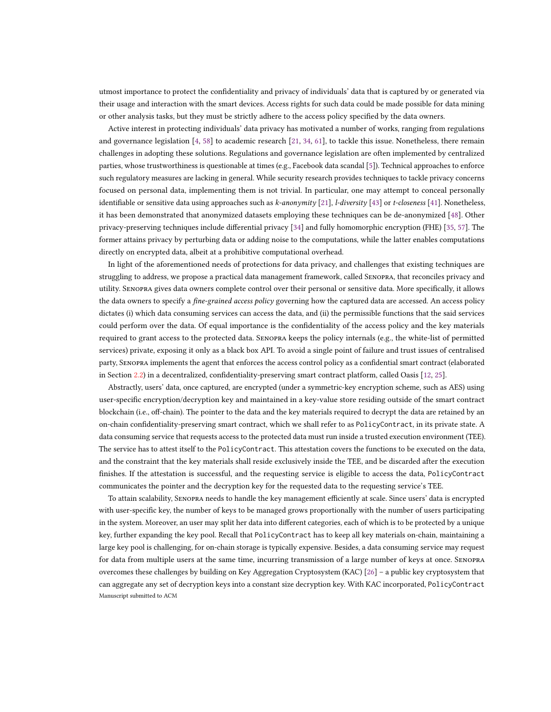utmost importance to protect the confidentiality and privacy of individuals' data that is captured by or generated via their usage and interaction with the smart devices. Access rights for such data could be made possible for data mining or other analysis tasks, but they must be strictly adhere to the access policy specified by the data owners.

Active interest in protecting individuals' data privacy has motivated a number of works, ranging from regulations and governance legislation [\[4,](#page-19-3) [58\]](#page-20-3) to academic research [\[21,](#page-19-4) [34,](#page-19-5) [61\]](#page-20-4), to tackle this issue. Nonetheless, there remain challenges in adopting these solutions. Regulations and governance legislation are often implemented by centralized parties, whose trustworthiness is questionable at times (e.g., Facebook data scandal [\[5\]](#page-19-1)). Technical approaches to enforce such regulatory measures are lacking in general. While security research provides techniques to tackle privacy concerns focused on personal data, implementing them is not trivial. In particular, one may attempt to conceal personally identifiable or sensitive data using approaches such as k-anonymity [\[21\]](#page-19-4), l-diversity [\[43\]](#page-20-5) or t-closeness [\[41\]](#page-20-6). Nonetheless, it has been demonstrated that anonymized datasets employing these techniques can be de-anonymized [\[48\]](#page-20-7). Other privacy-preserving techniques include differential privacy [\[34\]](#page-19-5) and fully homomorphic encryption (FHE) [\[35,](#page-19-6) [57\]](#page-20-8). The former attains privacy by perturbing data or adding noise to the computations, while the latter enables computations directly on encrypted data, albeit at a prohibitive computational overhead.

In light of the aforementioned needs of protections for data privacy, and challenges that existing techniques are struggling to address, we propose a practical data management framework, called Senopra, that reconciles privacy and utility. Senopra gives data owners complete control over their personal or sensitive data. More specifically, it allows the data owners to specify a *fine-grained access policy* governing how the captured data are accessed. An access policy dictates (i) which data consuming services can access the data, and (ii) the permissible functions that the said services could perform over the data. Of equal importance is the confidentiality of the access policy and the key materials required to grant access to the protected data. Senopra keeps the policy internals (e.g., the white-list of permitted services) private, exposing it only as a black box API. To avoid a single point of failure and trust issues of centralised party, Senopra implements the agent that enforces the access control policy as a confidential smart contract (elaborated in Section [2.2\)](#page-3-0) in a decentralized, confidentiality-preserving smart contract platform, called Oasis [\[12,](#page-19-7) [25\]](#page-19-8).

Abstractly, users' data, once captured, are encrypted (under a symmetric-key encryption scheme, such as AES) using user-specific encryption/decryption key and maintained in a key-value store residing outside of the smart contract blockchain (i.e., off-chain). The pointer to the data and the key materials required to decrypt the data are retained by an on-chain confidentiality-preserving smart contract, which we shall refer to as PolicyContract, in its private state. A data consuming service that requests access to the protected data must run inside a trusted execution environment (TEE). The service has to attest itself to the PolicyContract. This attestation covers the functions to be executed on the data, and the constraint that the key materials shall reside exclusively inside the TEE, and be discarded after the execution finishes. If the attestation is successful, and the requesting service is eligible to access the data, PolicyContract communicates the pointer and the decryption key for the requested data to the requesting service's TEE.

To attain scalability, Senopra needs to handle the key management efficiently at scale. Since users' data is encrypted with user-specific key, the number of keys to be managed grows proportionally with the number of users participating in the system. Moreover, an user may split her data into different categories, each of which is to be protected by a unique key, further expanding the key pool. Recall that PolicyContract has to keep all key materials on-chain, maintaining a large key pool is challenging, for on-chain storage is typically expensive. Besides, a data consuming service may request for data from multiple users at the same time, incurring transmission of a large number of keys at once. Senopra overcomes these challenges by building on Key Aggregation Cryptosystem (KAC) [\[26\]](#page-19-9) – a public key cryptosystem that can aggregate any set of decryption keys into a constant size decryption key. With KAC incorporated, PolicyContract Manuscript submitted to ACM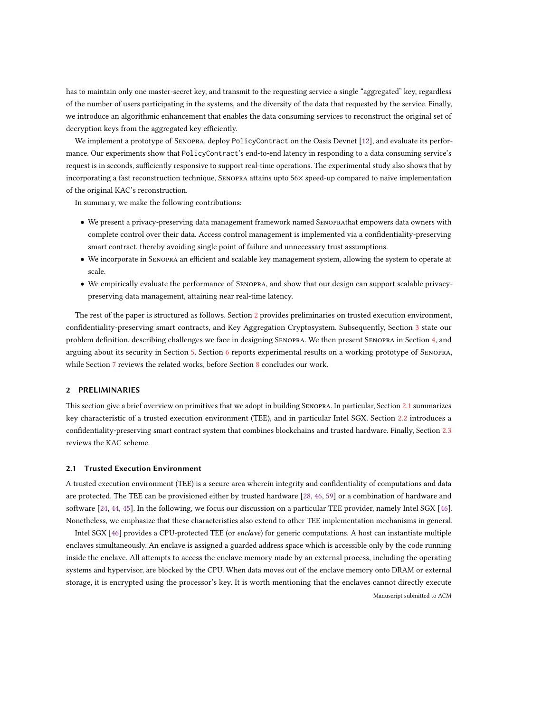has to maintain only one master-secret key, and transmit to the requesting service a single "aggregated" key, regardless of the number of users participating in the systems, and the diversity of the data that requested by the service. Finally, we introduce an algorithmic enhancement that enables the data consuming services to reconstruct the original set of decryption keys from the aggregated key efficiently.

We implement a prototype of Senopra, deploy PolicyContract on the Oasis Devnet [\[12\]](#page-19-7), and evaluate its performance. Our experiments show that PolicyContract's end-to-end latency in responding to a data consuming service's request is in seconds, sufficiently responsive to support real-time operations. The experimental study also shows that by incorporating a fast reconstruction technique, Senopra attains upto 56× speed-up compared to naive implementation of the original KAC's reconstruction.

In summary, we make the following contributions:

- We present a privacy-preserving data management framework named Senoprathat empowers data owners with complete control over their data. Access control management is implemented via a confidentiality-preserving smart contract, thereby avoiding single point of failure and unnecessary trust assumptions.
- We incorporate in Senopra an efficient and scalable key management system, allowing the system to operate at scale.
- We empirically evaluate the performance of Senopra, and show that our design can support scalable privacypreserving data management, attaining near real-time latency.

The rest of the paper is structured as follows. Section [2](#page-2-0) provides preliminaries on trusted execution environment, confidentiality-preserving smart contracts, and Key Aggregation Cryptosystem. Subsequently, Section [3](#page-5-0) state our problem definition, describing challenges we face in designing Senopra. We then present Senopra in Section [4,](#page-9-0) and arguing about its security in Section [5.](#page-14-0) Section [6](#page-15-0) reports experimental results on a working prototype of Senopra, while Section [7](#page-18-0) reviews the related works, before Section [8](#page-19-10) concludes our work.

# <span id="page-2-0"></span>2 PRELIMINARIES

This section give a brief overview on primitives that we adopt in building Senopra. In particular, Section [2.1](#page-2-1) summarizes key characteristic of a trusted execution environment (TEE), and in particular Intel SGX. Section [2.2](#page-3-0) introduces a confidentiality-preserving smart contract system that combines blockchains and trusted hardware. Finally, Section [2.3](#page-4-0) reviews the KAC scheme.

# <span id="page-2-1"></span>2.1 Trusted Execution Environment

A trusted execution environment (TEE) is a secure area wherein integrity and confidentiality of computations and data are protected. The TEE can be provisioned either by trusted hardware [\[28,](#page-19-11) [46,](#page-20-9) [59\]](#page-20-10) or a combination of hardware and software [\[24,](#page-19-12) [44,](#page-20-11) [45\]](#page-20-12). In the following, we focus our discussion on a particular TEE provider, namely Intel SGX [\[46\]](#page-20-9). Nonetheless, we emphasize that these characteristics also extend to other TEE implementation mechanisms in general.

Intel SGX [\[46\]](#page-20-9) provides a CPU-protected TEE (or enclave) for generic computations. A host can instantiate multiple enclaves simultaneously. An enclave is assigned a guarded address space which is accessible only by the code running inside the enclave. All attempts to access the enclave memory made by an external process, including the operating systems and hypervisor, are blocked by the CPU. When data moves out of the enclave memory onto DRAM or external storage, it is encrypted using the processor's key. It is worth mentioning that the enclaves cannot directly execute Manuscript submitted to ACM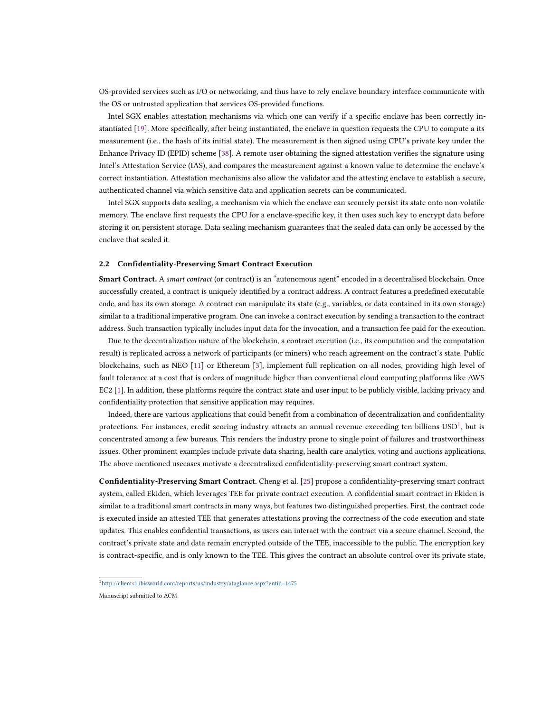OS-provided services such as I/O or networking, and thus have to rely enclave boundary interface communicate with the OS or untrusted application that services OS-provided functions.

Intel SGX enables attestation mechanisms via which one can verify if a specific enclave has been correctly instantiated [\[19\]](#page-19-13). More specifically, after being instantiated, the enclave in question requests the CPU to compute a its measurement (i.e., the hash of its initial state). The measurement is then signed using CPU's private key under the Enhance Privacy ID (EPID) scheme [\[38\]](#page-20-13). A remote user obtaining the signed attestation verifies the signature using Intel's Attestation Service (IAS), and compares the measurement against a known value to determine the enclave's correct instantiation. Attestation mechanisms also allow the validator and the attesting enclave to establish a secure, authenticated channel via which sensitive data and application secrets can be communicated.

Intel SGX supports data sealing, a mechanism via which the enclave can securely persist its state onto non-volatile memory. The enclave first requests the CPU for a enclave-specific key, it then uses such key to encrypt data before storing it on persistent storage. Data sealing mechanism guarantees that the sealed data can only be accessed by the enclave that sealed it.

#### <span id="page-3-0"></span>2.2 Confidentiality-Preserving Smart Contract Execution

**Smart Contract.** A smart contract (or contract) is an "autonomous agent" encoded in a decentralised blockchain. Once successfully created, a contract is uniquely identified by a contract address. A contract features a predefined executable code, and has its own storage. A contract can manipulate its state (e.g., variables, or data contained in its own storage) similar to a traditional imperative program. One can invoke a contract execution by sending a transaction to the contract address. Such transaction typically includes input data for the invocation, and a transaction fee paid for the execution.

Due to the decentralization nature of the blockchain, a contract execution (i.e., its computation and the computation result) is replicated across a network of participants (or miners) who reach agreement on the contract's state. Public blockchains, such as NEO [\[11\]](#page-19-14) or Ethereum [\[3\]](#page-19-15), implement full replication on all nodes, providing high level of fault tolerance at a cost that is orders of magnitude higher than conventional cloud computing platforms like AWS EC2 [\[1\]](#page-19-16). In addition, these platforms require the contract state and user input to be publicly visible, lacking privacy and confidentiality protection that sensitive application may requires.

Indeed, there are various applications that could benefit from a combination of decentralization and confidentiality protections. For instances, credit scoring industry attracts an annual revenue exceeding ten billions  $\mathrm{USD}^1$  $\mathrm{USD}^1$ , but is concentrated among a few bureaus. This renders the industry prone to single point of failures and trustworthiness issues. Other prominent examples include private data sharing, health care analytics, voting and auctions applications. The above mentioned usecases motivate a decentralized confidentiality-preserving smart contract system.

Confidentiality-Preserving Smart Contract. Cheng et al. [\[25\]](#page-19-8) propose a confidentiality-preserving smart contract system, called Ekiden, which leverages TEE for private contract execution. A confidential smart contract in Ekiden is similar to a traditional smart contracts in many ways, but features two distinguished properties. First, the contract code is executed inside an attested TEE that generates attestations proving the correctness of the code execution and state updates. This enables confidential transactions, as users can interact with the contract via a secure channel. Second, the contract's private state and data remain encrypted outside of the TEE, inaccessible to the public. The encryption key is contract-specific, and is only known to the TEE. This gives the contract an absolute control over its private state,

<span id="page-3-1"></span> $\overline{1}_{\text{http://clients1.ibisworld.com/reports/us/industry/ataglance.aspx?entid=1475}$  $\overline{1}_{\text{http://clients1.ibisworld.com/reports/us/industry/ataglance.aspx?entid=1475}$  $\overline{1}_{\text{http://clients1.ibisworld.com/reports/us/industry/ataglance.aspx?entid=1475}$ 

Manuscript submitted to ACM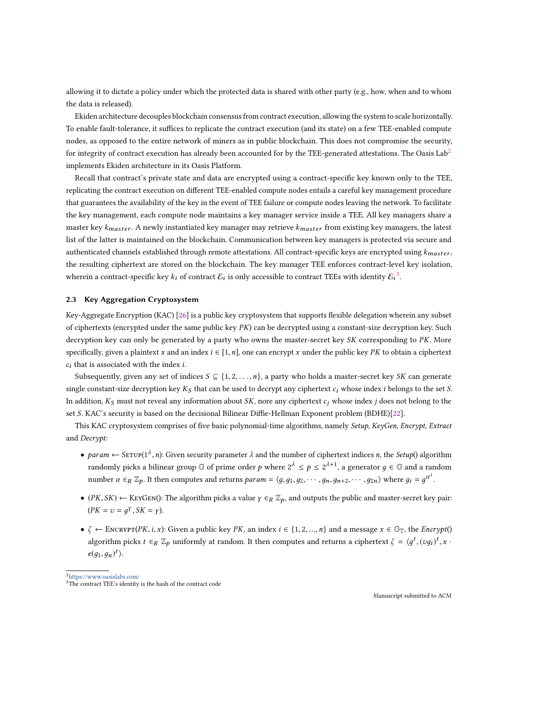allowing it to dictate a policy under which the protected data is shared with other party (e.g., how, when and to whom the data is released).

Ekiden architecture decouples blockchain consensus from contract execution, allowing the system to scale horizontally. To enable fault-tolerance, it suffices to replicate the contract execution (and its state) on a few TEE-enabled compute nodes, as opposed to the entire network of miners as in public blockchain. This does not compromise the security, for integrity of contract execution has already been accounted for by the TEE-generated attestations. The Oasis  $\text{Lab}^2$  $\text{Lab}^2$ implements Ekiden architecture in its Oasis Platform.

Recall that contract's private state and data are encrypted using a contract-specific key known only to the TEE, replicating the contract execution on different TEE-enabled compute nodes entails a careful key management procedure that guarantees the availability of the key in the event of TEE failure or compute nodes leaving the network. To facilitate the key management, each compute node maintains a key manager service inside a TEE. All key managers share a master key k<sub>master</sub>. A newly instantiated key manager may retrieve k<sub>master</sub> from existing key managers, the latest list of the latter is maintained on the blockchain. Communication between key managers is protected via secure and authenticated channels established through remote attestations. All contract-specific keys are encrypted using  $k_{master}$ , the resulting ciphertext are stored on the blockchain. The key manager TEE enforces contract-level key isolation, wherein a contract-specific key  $k_i$  of contract  $\mathcal{E}_i$  is only accessible to contract TEEs with identity  $\mathcal{E}_i^3$  $\mathcal{E}_i^3$ .

# <span id="page-4-0"></span>2.3 Key Aggregation Cryptosystem

Key-Aggregate Encryption (KAC) [\[26\]](#page-19-9) is a public key cryptosystem that supports flexible delegation wherein any subset of ciphertexts (encrypted under the same public key  $PK$ ) can be decrypted using a constant-size decryption key. Such decryption key can only be generated by a party who owns the master-secret key SK corresponding to PK. More specifically, given a plaintext x and an index  $i \in [1, n]$ , one can encrypt x under the public key PK to obtain a ciphertext  $c_i$  that is associated with the index  $i$ .

Subsequently, given any set of indices  $S \subseteq \{1, 2, \ldots, n\}$ , a party who holds a master-secret key SK can generate single constant-size decryption key  $K_S$  that can be used to decrypt any ciphertext  $c_i$  whose index i belongs to the set S. In addition,  $K_S$  must not reveal any information about SK, nore any ciphertext  $c_j$  whose index j does not belong to the set S. KAC's security is based on the decisional Bilinear Diffie-Hellman Exponent problem (BDHE)[\[22\]](#page-19-17).

This KAC cryptosystem comprises of five basic polynomial-time algorithms, namely Setup, KeyGen, Encrypt, Extract and Decrypt:

- param  $\leftarrow$  SETUP(1<sup>A</sup>, n): Given security parameter  $\lambda$  and the number of ciphertext indices n, the *Setup*() algorithm randomly picks a bilinear group  $\mathbb{G}$  of prime order p where  $2^{\lambda} \le p \le 2^{\lambda+1}$ , a generator  $g \in \mathbb{G}$  and a random number  $\alpha \in_R \mathbb{Z}_p$ . It then computes and returns  $param = \langle g, g_1, g_2, \cdots, g_n, g_{n+2}, \cdots, g_{2n} \rangle$  where  $g_i = g^{\alpha^i}$ .
- ( $PK, SK$ )  $\leftarrow$  KEYGEN(): The algorithm picks a value  $\gamma \in_R \mathbb{Z}_p$ , and outputs the public and master-secret key pair:  $(PK = v = g<sup>\gamma</sup>, SK = \gamma).$
- $\zeta \leftarrow \text{Encexpr}(PK, i, x)$ : Given a public key PK, an index  $i \in \{1, 2, ..., n\}$  and a message  $x \in \mathbb{G}_{\mathbb{T}}$ , the Encrypt() algorithm picks  $t \in_R \mathbb{Z}_p$  uniformly at random. It then computes and returns a ciphertext  $\zeta = \langle g^t, (vg_i)^t, x \rangle$  $e(g_1,g_n)^t$ .

<span id="page-4-1"></span><sup>2</sup><https://www.oasislabs.com/>

<span id="page-4-2"></span> $3$ The contract TEE's identity is the hash of the contract code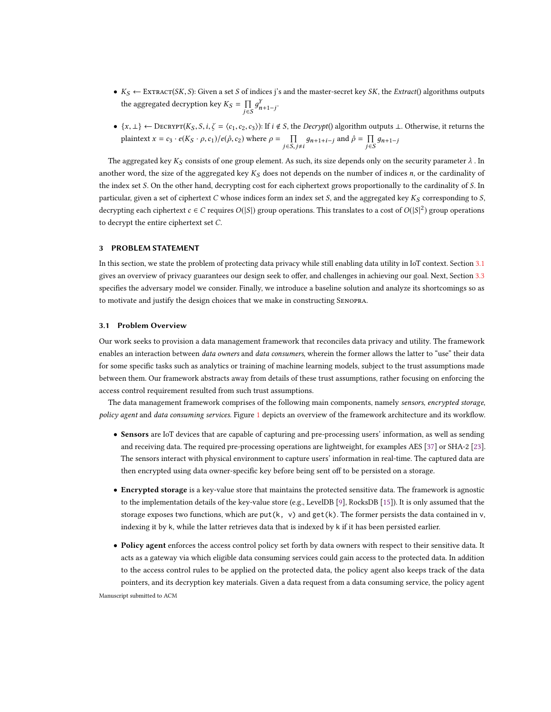- $K_S \leftarrow \text{EXFACT}(SK, S)$ : Given a set S of indices j's and the master-secret key SK, the Extract() algorithms outputs the aggregated decryption key  $K_S = \prod_{j \in S}$  $\prod_{j\in S}g_{n+1-j}^y$ .
- $\{x, \perp\} \leftarrow$  DECRYPT $(K_S, S, i, \zeta = \langle c_1, c_2, c_3 \rangle)$ : If  $i \notin S$ , the *Decrypt*() algorithm outputs  $\perp$ . Otherwise, it returns the plaintext  $x = c_3 \cdot e(K_S \cdot \rho, c_1) / e(\hat{\rho}, c_2)$  where  $\rho = \prod_{j \in S, j \neq i} g_{n+1+i-j}$  and  $\hat{\rho} = \prod_{j \in S} g_{n+1+i-j}$  $\prod_{j \in S} g_{n+1-j}$

The aggregated key  $K_S$  consists of one group element. As such, its size depends only on the security parameter  $\lambda$ . In another word, the size of the aggregated key  $K_S$  does not depends on the number of indices n, or the cardinality of the index set S. On the other hand, decrypting cost for each ciphertext grows proportionally to the cardinality of S. In particular, given a set of ciphertext C whose indices form an index set S, and the aggregated key  $K_S$  corresponding to S, decrypting each ciphertext  $c \in C$  requires  $O(|S|)$  group operations. This translates to a cost of  $O(|S|^2)$  group operations to decrypt the entire ciphertext set C.

# <span id="page-5-0"></span>3 PROBLEM STATEMENT

In this section, we state the problem of protecting data privacy while still enabling data utility in IoT context. Section [3.1](#page-5-1) gives an overview of privacy guarantees our design seek to offer, and challenges in achieving our goal. Next, Section [3.3](#page-7-0) specifies the adversary model we consider. Finally, we introduce a baseline solution and analyze its shortcomings so as to motivate and justify the design choices that we make in constructing Senopra.

# <span id="page-5-1"></span>3.1 Problem Overview

Our work seeks to provision a data management framework that reconciles data privacy and utility. The framework enables an interaction between *data owners* and *data consumers*, wherein the former allows the latter to "use" their data for some specific tasks such as analytics or training of machine learning models, subject to the trust assumptions made between them. Our framework abstracts away from details of these trust assumptions, rather focusing on enforcing the access control requirement resulted from such trust assumptions.

The data management framework comprises of the following main components, namely sensors, encrypted storage, policy agent and data consuming services. Figure [1](#page-6-0) depicts an overview of the framework architecture and its workflow.

- Sensors are IoT devices that are capable of capturing and pre-processing users' information, as well as sending and receiving data. The required pre-processing operations are lightweight, for examples AES [\[37\]](#page-20-14) or SHA-2 [\[23\]](#page-19-18). The sensors interact with physical environment to capture users' information in real-time. The captured data are then encrypted using data owner-specific key before being sent off to be persisted on a storage.
- Encrypted storage is a key-value store that maintains the protected sensitive data. The framework is agnostic to the implementation details of the key-value store (e.g., LevelDB [\[9\]](#page-19-19), RocksDB [\[15\]](#page-19-20)). It is only assumed that the storage exposes two functions, which are put(k, v) and  $get(k)$ . The former persists the data contained in v, indexing it by k, while the latter retrieves data that is indexed by k if it has been persisted earlier.
- Policy agent enforces the access control policy set forth by data owners with respect to their sensitive data. It acts as a gateway via which eligible data consuming services could gain access to the protected data. In addition to the access control rules to be applied on the protected data, the policy agent also keeps track of the data pointers, and its decryption key materials. Given a data request from a data consuming service, the policy agent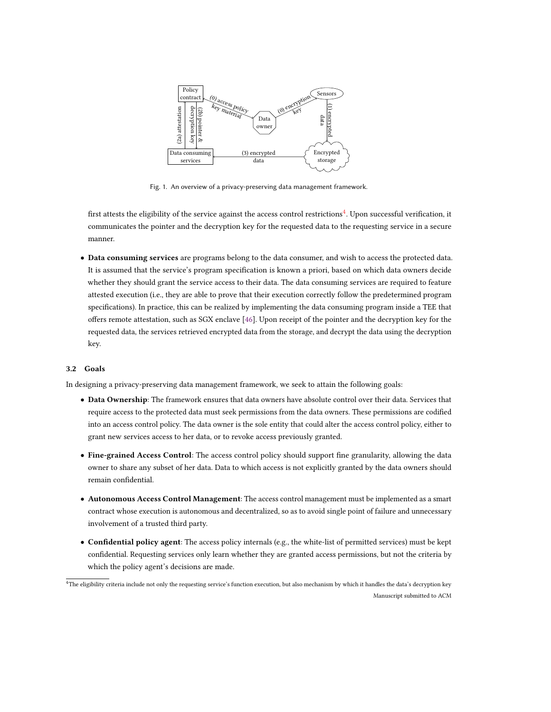<span id="page-6-0"></span>

Fig. 1. An overview of a privacy-preserving data management framework.

first attests the eligibility of the service against the access control restrictions $^4$  $^4$ . Upon successful verification, it communicates the pointer and the decryption key for the requested data to the requesting service in a secure manner.

• Data consuming services are programs belong to the data consumer, and wish to access the protected data. It is assumed that the service's program specification is known a priori, based on which data owners decide whether they should grant the service access to their data. The data consuming services are required to feature attested execution (i.e., they are able to prove that their execution correctly follow the predetermined program specifications). In practice, this can be realized by implementing the data consuming program inside a TEE that offers remote attestation, such as SGX enclave [\[46\]](#page-20-9). Upon receipt of the pointer and the decryption key for the requested data, the services retrieved encrypted data from the storage, and decrypt the data using the decryption key.

## <span id="page-6-2"></span>3.2 Goals

In designing a privacy-preserving data management framework, we seek to attain the following goals:

- Data Ownership: The framework ensures that data owners have absolute control over their data. Services that require access to the protected data must seek permissions from the data owners. These permissions are codified into an access control policy. The data owner is the sole entity that could alter the access control policy, either to grant new services access to her data, or to revoke access previously granted.
- Fine-grained Access Control: The access control policy should support fine granularity, allowing the data owner to share any subset of her data. Data to which access is not explicitly granted by the data owners should remain confidential.
- Autonomous Access Control Management: The access control management must be implemented as a smart contract whose execution is autonomous and decentralized, so as to avoid single point of failure and unnecessary involvement of a trusted third party.
- Confidential policy agent: The access policy internals (e.g., the white-list of permitted services) must be kept confidential. Requesting services only learn whether they are granted access permissions, but not the criteria by which the policy agent's decisions are made.

<span id="page-6-1"></span><sup>4</sup>The eligibility criteria include not only the requesting service's function execution, but also mechanism by which it handles the data's decryption key Manuscript submitted to ACM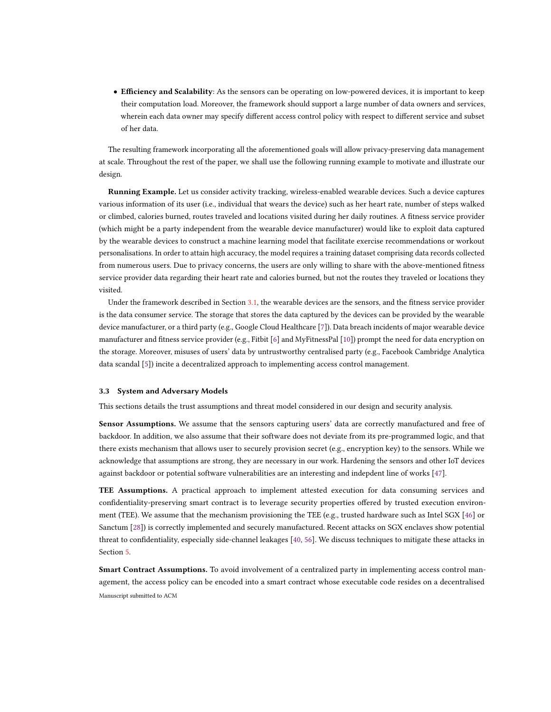• Efficiency and Scalability: As the sensors can be operating on low-powered devices, it is important to keep their computation load. Moreover, the framework should support a large number of data owners and services, wherein each data owner may specify different access control policy with respect to different service and subset of her data.

The resulting framework incorporating all the aforementioned goals will allow privacy-preserving data management at scale. Throughout the rest of the paper, we shall use the following running example to motivate and illustrate our design.

Running Example. Let us consider activity tracking, wireless-enabled wearable devices. Such a device captures various information of its user (i.e., individual that wears the device) such as her heart rate, number of steps walked or climbed, calories burned, routes traveled and locations visited during her daily routines. A fitness service provider (which might be a party independent from the wearable device manufacturer) would like to exploit data captured by the wearable devices to construct a machine learning model that facilitate exercise recommendations or workout personalisations. In order to attain high accuracy, the model requires a training dataset comprising data records collected from numerous users. Due to privacy concerns, the users are only willing to share with the above-mentioned fitness service provider data regarding their heart rate and calories burned, but not the routes they traveled or locations they visited.

Under the framework described in Section [3.1,](#page-5-1) the wearable devices are the sensors, and the fitness service provider is the data consumer service. The storage that stores the data captured by the devices can be provided by the wearable device manufacturer, or a third party (e.g., Google Cloud Healthcare [\[7\]](#page-19-21)). Data breach incidents of major wearable device manufacturer and fitness service provider (e.g., Fitbit [\[6\]](#page-19-22) and MyFitnessPal [\[10\]](#page-19-23)) prompt the need for data encryption on the storage. Moreover, misuses of users' data by untrustworthy centralised party (e.g., Facebook Cambridge Analytica data scandal [\[5\]](#page-19-1)) incite a decentralized approach to implementing access control management.

## <span id="page-7-0"></span>3.3 System and Adversary Models

This sections details the trust assumptions and threat model considered in our design and security analysis.

Sensor Assumptions. We assume that the sensors capturing users' data are correctly manufactured and free of backdoor. In addition, we also assume that their software does not deviate from its pre-programmed logic, and that there exists mechanism that allows user to securely provision secret (e.g., encryption key) to the sensors. While we acknowledge that assumptions are strong, they are necessary in our work. Hardening the sensors and other IoT devices against backdoor or potential software vulnerabilities are an interesting and indepdent line of works [\[47\]](#page-20-15).

TEE Assumptions. A practical approach to implement attested execution for data consuming services and confidentiality-preserving smart contract is to leverage security properties offered by trusted execution environment (TEE). We assume that the mechanism provisioning the TEE (e.g., trusted hardware such as Intel SGX [\[46\]](#page-20-9) or Sanctum [\[28\]](#page-19-11)) is correctly implemented and securely manufactured. Recent attacks on SGX enclaves show potential threat to confidentiality, especially side-channel leakages [\[40,](#page-20-16) [56\]](#page-20-17). We discuss techniques to mitigate these attacks in Section [5.](#page-14-0)

Smart Contract Assumptions. To avoid involvement of a centralized party in implementing access control management, the access policy can be encoded into a smart contract whose executable code resides on a decentralised Manuscript submitted to ACM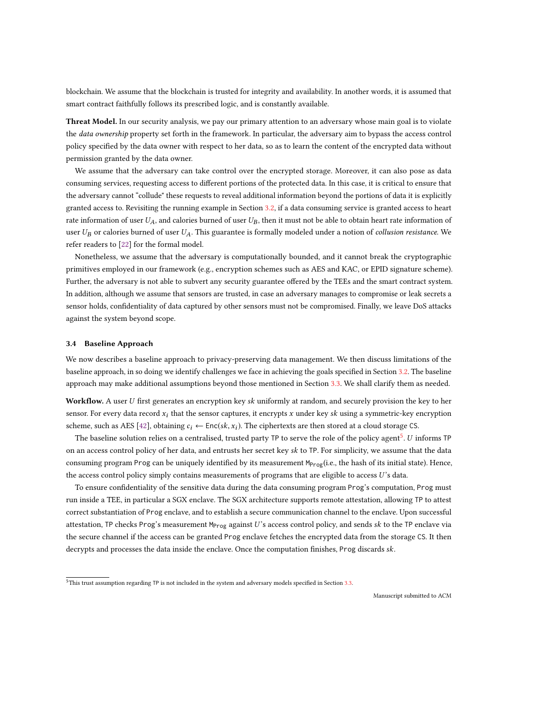blockchain. We assume that the blockchain is trusted for integrity and availability. In another words, it is assumed that smart contract faithfully follows its prescribed logic, and is constantly available.

Threat Model. In our security analysis, we pay our primary attention to an adversary whose main goal is to violate the *data ownership* property set forth in the framework. In particular, the adversary aim to bypass the access control policy specified by the data owner with respect to her data, so as to learn the content of the encrypted data without permission granted by the data owner.

We assume that the adversary can take control over the encrypted storage. Moreover, it can also pose as data consuming services, requesting access to different portions of the protected data. In this case, it is critical to ensure that the adversary cannot "collude" these requests to reveal additional information beyond the portions of data it is explicitly granted access to. Revisiting the running example in Section [3.2,](#page-6-2) if a data consuming service is granted access to heart rate information of user  $U_A$ , and calories burned of user  $U_B$ , then it must not be able to obtain heart rate information of user  $U_B$  or calories burned of user  $U_A$ . This guarantee is formally modeled under a notion of collusion resistance. We refer readers to [\[22\]](#page-19-17) for the formal model.

Nonetheless, we assume that the adversary is computationally bounded, and it cannot break the cryptographic primitives employed in our framework (e.g., encryption schemes such as AES and KAC, or EPID signature scheme). Further, the adversary is not able to subvert any security guarantee offered by the TEEs and the smart contract system. In addition, although we assume that sensors are trusted, in case an adversary manages to compromise or leak secrets a sensor holds, confidentiality of data captured by other sensors must not be compromised. Finally, we leave DoS attacks against the system beyond scope.

#### <span id="page-8-1"></span>3.4 Baseline Approach

We now describes a baseline approach to privacy-preserving data management. We then discuss limitations of the baseline approach, in so doing we identify challenges we face in achieving the goals specified in Section [3.2.](#page-6-2) The baseline approach may make additional assumptions beyond those mentioned in Section [3.3.](#page-7-0) We shall clarify them as needed.

Workflow. A user U first generates an encryption key sk uniformly at random, and securely provision the key to her sensor. For every data record  $x_i$  that the sensor captures, it encrypts x under key sk using a symmetric-key encryption scheme, such as AES [\[42\]](#page-20-18), obtaining  $c_i \leftarrow \text{Enc}(sk, x_i)$ . The ciphertexts are then stored at a cloud storage CS.

The baseline solution relies on a centralised, trusted party  $TP$  to serve the role of the policy agent<sup>[5](#page-8-0)</sup>. U informs  $TP$ on an access control policy of her data, and entrusts her secret key sk to TP. For simplicity, we assume that the data consuming program Prog can be uniquely identified by its measurement  $M_{Prog}(i.e.,$  the hash of its initial state). Hence, the access control policy simply contains measurements of programs that are eligible to access U's data.

To ensure confidentiality of the sensitive data during the data consuming program Prog's computation, Prog must run inside a TEE, in particular a SGX enclave. The SGX architecture supports remote attestation, allowing TP to attest correct substantiation of Prog enclave, and to establish a secure communication channel to the enclave. Upon successful attestation, TP checks Prog's measurement  $M_{Prog}$  against U's access control policy, and sends sk to the TP enclave via the secure channel if the access can be granted Prog enclave fetches the encrypted data from the storage CS. It then decrypts and processes the data inside the enclave. Once the computation finishes, Prog discards sk.

<span id="page-8-0"></span> $\frac{1}{5}$ This trust assumption regarding TP is not included in the system and adversary models specified in Section [3.3.](#page-7-0)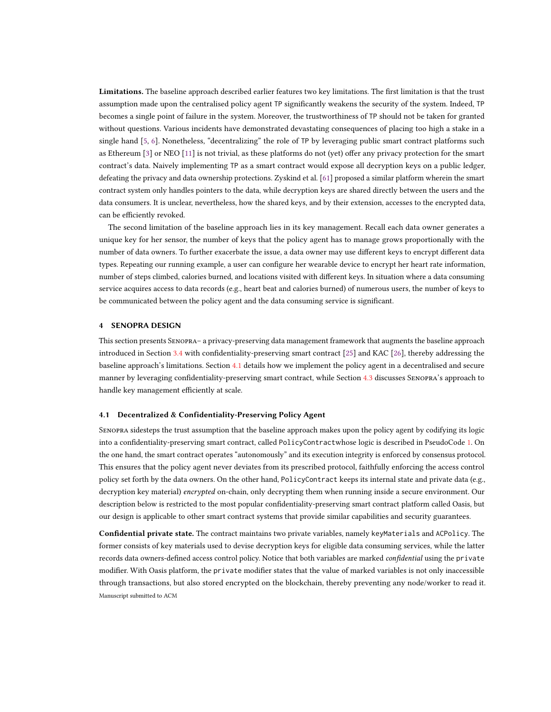Limitations. The baseline approach described earlier features two key limitations. The first limitation is that the trust assumption made upon the centralised policy agent TP significantly weakens the security of the system. Indeed, TP becomes a single point of failure in the system. Moreover, the trustworthiness of TP should not be taken for granted without questions. Various incidents have demonstrated devastating consequences of placing too high a stake in a single hand [\[5,](#page-19-1) [6\]](#page-19-22). Nonetheless, "decentralizing" the role of TP by leveraging public smart contract platforms such as Ethereum [\[3\]](#page-19-15) or NEO [\[11\]](#page-19-14) is not trivial, as these platforms do not (yet) offer any privacy protection for the smart contract's data. Naively implementing TP as a smart contract would expose all decryption keys on a public ledger, defeating the privacy and data ownership protections. Zyskind et al. [\[61\]](#page-20-4) proposed a similar platform wherein the smart contract system only handles pointers to the data, while decryption keys are shared directly between the users and the data consumers. It is unclear, nevertheless, how the shared keys, and by their extension, accesses to the encrypted data, can be efficiently revoked.

The second limitation of the baseline approach lies in its key management. Recall each data owner generates a unique key for her sensor, the number of keys that the policy agent has to manage grows proportionally with the number of data owners. To further exacerbate the issue, a data owner may use different keys to encrypt different data types. Repeating our running example, a user can configure her wearable device to encrypt her heart rate information, number of steps climbed, calories burned, and locations visited with different keys. In situation where a data consuming service acquires access to data records (e.g., heart beat and calories burned) of numerous users, the number of keys to be communicated between the policy agent and the data consuming service is significant.

## <span id="page-9-0"></span>4 SENOPRA DESIGN

This section presents Senopra– a privacy-preserving data management framework that augments the baseline approach introduced in Section [3.4](#page-8-1) with confidentiality-preserving smart contract [\[25\]](#page-19-8) and KAC [\[26\]](#page-19-9), thereby addressing the baseline approach's limitations. Section [4.1](#page-9-1) details how we implement the policy agent in a decentralised and secure manner by leveraging confidentiality-preserving smart contract, while Section [4.3](#page-12-0) discusses Senopra's approach to handle key management efficiently at scale.

#### <span id="page-9-1"></span>4.1 Decentralized & Confidentiality-Preserving Policy Agent

Senopra sidesteps the trust assumption that the baseline approach makes upon the policy agent by codifying its logic into a confidentiality-preserving smart contract, called PolicyContractwhose logic is described in PseudoCode [1.](#page-10-0) On the one hand, the smart contract operates "autonomously" and its execution integrity is enforced by consensus protocol. This ensures that the policy agent never deviates from its prescribed protocol, faithfully enforcing the access control policy set forth by the data owners. On the other hand, PolicyContract keeps its internal state and private data (e.g., decryption key material) encrypted on-chain, only decrypting them when running inside a secure environment. Our description below is restricted to the most popular confidentiality-preserving smart contract platform called Oasis, but our design is applicable to other smart contract systems that provide similar capabilities and security guarantees.

Confidential private state. The contract maintains two private variables, namely keyMaterials and ACPolicy. The former consists of key materials used to devise decryption keys for eligible data consuming services, while the latter records data owners-defined access control policy. Notice that both variables are marked confidential using the private modifier. With Oasis platform, the private modifier states that the value of marked variables is not only inaccessible through transactions, but also stored encrypted on the blockchain, thereby preventing any node/worker to read it. Manuscript submitted to ACM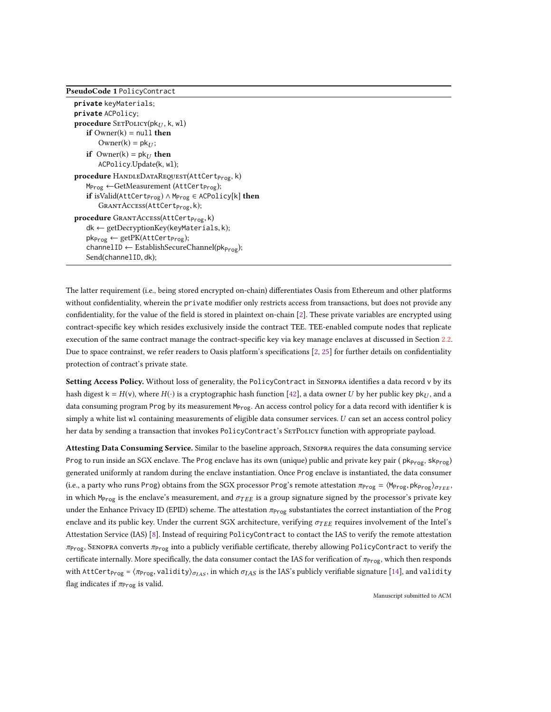## <span id="page-10-0"></span>PseudoCode 1 PolicyContract

```
private keyMaterials;
private ACPolicy;
procedure SETPOLICY(pk_{II}, k, w1)if Owner(k) = null then
        Owner(k) = pk<sub>U</sub>;if Owner(k) = pk_{II} then
        ACPolicy.Update(k, wl);
procedure HANDLEDATAREQUEST(AttCert<sub>Prog</sub>, k)
    M<sub>Prog</sub> ←GetMeasurement (AttCert<sub>Prog</sub>);
    if isValid(AttCert<sub>Prog</sub>) ∧ M<sub>Prog</sub> \in ACPolicy[k] then
        GRANTACcess(AttCert<sub>Prog</sub>, k);procedure GRANTACCESS(AttCert<sub>Prog,</sub> k)
    dk ← getDecryptionKey(keyMaterials, k);
    pk_{Prog} \leftarrow getPK(AttCert_{Prog});channelID \leftarrow EstablishSecureChannel(pk_{Prog});Send(channelID, dk);
```
The latter requirement (i.e., being stored encrypted on-chain) differentiates Oasis from Ethereum and other platforms without confidentiality, wherein the private modifier only restricts access from transactions, but does not provide any confidentiality, for the value of the field is stored in plaintext on-chain [\[2\]](#page-19-24). These private variables are encrypted using contract-specific key which resides exclusively inside the contract TEE. TEE-enabled compute nodes that replicate execution of the same contract manage the contract-specific key via key manage enclaves at discussed in Section [2.2.](#page-3-0) Due to space contrainst, we refer readers to Oasis platform's specifications [\[2,](#page-19-24) [25\]](#page-19-8) for further details on confidentiality protection of contract's private state.

Setting Access Policy. Without loss of generality, the PolicyContract in SENOPRA identifies a data record v by its hash digest  $k = H(v)$ , where  $H(\cdot)$  is a cryptographic hash function [\[42\]](#page-20-18), a data owner U by her public key pk<sub>U</sub>, and a data consuming program Prog by its measurement  $M_{Prog}$ . An access control policy for a data record with identifier k is simply a white list wl containing measurements of eligible data consumer services. U can set an access control policy her data by sending a transaction that invokes PolicyContract's SETPOLICY function with appropriate payload.

Attesting Data Consuming Service. Similar to the baseline approach, SENOPRA requires the data consuming service Prog to run inside an SGX enclave. The Prog enclave has its own (unique) public and private key pair ( pk<sub>Prog</sub>, sk<sub>Prog</sub>) generated uniformly at random during the enclave instantiation. Once Prog enclave is instantiated, the data consumer (i.e., a party who runs Prog) obtains from the SGX processor Prog's remote attestation  $\pi_{\text{Prog}} = \langle M_{\text{Prog}}, \text{pk}_{\text{Prog}} \rangle_{\sigma_{TFF}}$ , in which M<sub>Prog</sub> is the enclave's measurement, and  $\sigma_{TEE}$  is a group signature signed by the processor's private key under the Enhance Privacy ID (EPID) scheme. The attestation  $\pi_{\text{Prog}}$  substantiates the correct instantiation of the Prog enclave and its public key. Under the current SGX architecture, verifying  $\sigma_{TEE}$  requires involvement of the Intel's Attestation Service (IAS) [\[8\]](#page-19-25). Instead of requiring PolicyContract to contact the IAS to verify the remote attestation  $\pi_{\text{Prog}}$ , Senopra converts  $\pi_{\text{Prog}}$  into a publicly verifiable certificate, thereby allowing PolicyContract to verify the certificate internally. More specifically, the data consumer contact the IAS for verification of  $\pi_{\text{Prog}}$ , which then responds with AttCert<sub>Prog</sub> =  $\langle \pi_{\text{Prog}}$ , validity) $\sigma_{IAS}$ , in which  $\sigma_{IAS}$  is the IAS's publicly verifiable signature [\[14\]](#page-19-26), and validity flag indicates if  $\pi_{\text{Prog}}$  is valid.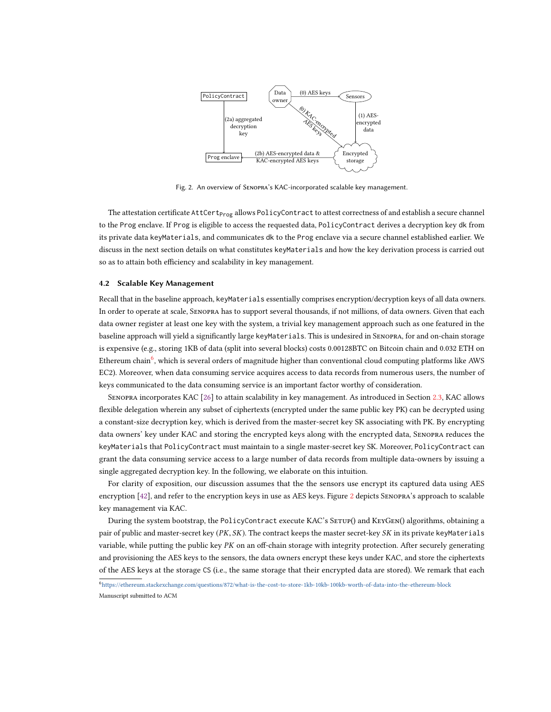<span id="page-11-1"></span>

Fig. 2. An overview of Senopra's KAC-incorporated scalable key management.

The attestation certificate AttCert<sub>Prog</sub> allows PolicyContract to attest correctness of and establish a secure channel to the Prog enclave. If Prog is eligible to access the requested data, PolicyContract derives a decryption key dk from its private data keyMaterials, and communicates dk to the Prog enclave via a secure channel established earlier. We discuss in the next section details on what constitutes keyMaterials and how the key derivation process is carried out so as to attain both efficiency and scalability in key management.

#### 4.2 Scalable Key Management

Recall that in the baseline approach, keyMaterials essentially comprises encryption/decryption keys of all data owners. In order to operate at scale, Senopra has to support several thousands, if not millions, of data owners. Given that each data owner register at least one key with the system, a trivial key management approach such as one featured in the baseline approach will yield a significantly large keyMaterials. This is undesired in Senopra, for and on-chain storage is expensive (e.g., storing 1KB of data (split into several blocks) costs 0.00128BTC on Bitcoin chain and 0.032 ETH on Ethereum chain<sup>[6](#page-11-0)</sup>, which is several orders of magnitude higher than conventional cloud computing platforms like AWS EC2). Moreover, when data consuming service acquires access to data records from numerous users, the number of keys communicated to the data consuming service is an important factor worthy of consideration.

Senopra incorporates KAC [\[26\]](#page-19-9) to attain scalability in key management. As introduced in Section [2.3,](#page-4-0) KAC allows flexible delegation wherein any subset of ciphertexts (encrypted under the same public key PK) can be decrypted using a constant-size decryption key, which is derived from the master-secret key SK associating with PK. By encrypting data owners' key under KAC and storing the encrypted keys along with the encrypted data, Senopra reduces the keyMaterials that PolicyContract must maintain to a single master-secret key SK. Moreover, PolicyContract can grant the data consuming service access to a large number of data records from multiple data-owners by issuing a single aggregated decryption key. In the following, we elaborate on this intuition.

For clarity of exposition, our discussion assumes that the the sensors use encrypt its captured data using AES encryption [\[42\]](#page-20-18), and refer to the encryption keys in use as AES keys. Figure [2](#page-11-1) depicts Senopra's approach to scalable key management via KAC.

During the system bootstrap, the PolicyContract execute KAC's SETUP() and KEYGEN() algorithms, obtaining a pair of public and master-secret key ( $PK, SK$ ). The contract keeps the master secret-key  $SK$  in its private keyMaterials variable, while putting the public key PK on an off-chain storage with integrity protection. After securely generating and provisioning the AES keys to the sensors, the data owners encrypt these keys under KAC, and store the ciphertexts of the AES keys at the storage CS (i.e., the same storage that their encrypted data are stored). We remark that each

<span id="page-11-0"></span><sup>6</sup><https://ethereum.stackexchange.com/questions/872/what-is-the-cost-to-store-1kb-10kb-100kb-worth-of-data-into-the-ethereum-block> Manuscript submitted to ACM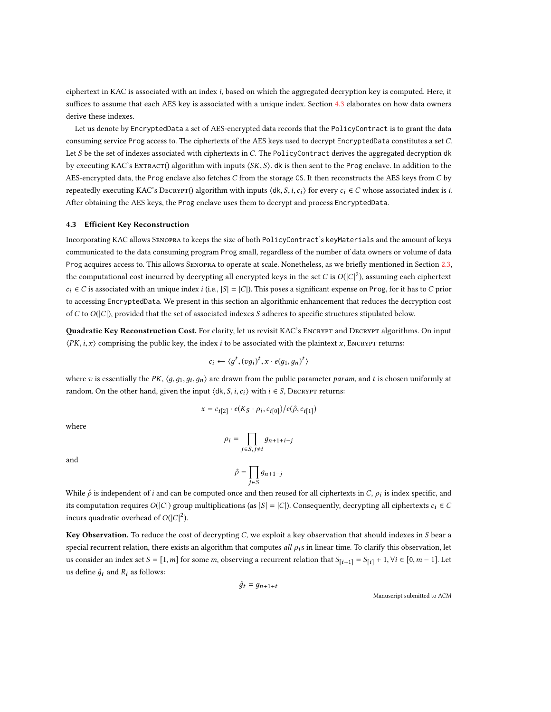ciphertext in KAC is associated with an index i, based on which the aggregated decryption key is computed. Here, it suffices to assume that each AES key is associated with a unique index. Section [4.3](#page-12-0) elaborates on how data owners derive these indexes.

Let us denote by EncryptedData a set of AES-encrypted data records that the PolicyContract is to grant the data consuming service Prog access to. The ciphertexts of the AES keys used to decrypt EncryptedData constitutes a set C. Let S be the set of indexes associated with ciphertexts in C. The PolicyContract derives the aggregated decryption dk by executing KAC's Extract() algorithm with inputs  $\langle SK, S \rangle$ . dk is then sent to the Prog enclave. In addition to the AES-encrypted data, the Prog enclave also fetches  $C$  from the storage CS. It then reconstructs the AES keys from  $C$  by repeatedly executing KAC's DECRYPT() algorithm with inputs  $\langle dk, S, i, c_i \rangle$  for every  $c_i \in C$  whose associated index is i. After obtaining the AES keys, the Prog enclave uses them to decrypt and process EncryptedData.

#### <span id="page-12-0"></span>4.3 Efficient Key Reconstruction

Incorporating KAC allows SENOPRA to keeps the size of both PolicyContract's keyMaterials and the amount of keys communicated to the data consuming program Prog small, regardless of the number of data owners or volume of data Prog acquires access to. This allows Senopra to operate at scale. Nonetheless, as we briefly mentioned in Section [2.3,](#page-4-0) the computational cost incurred by decrypting all encrypted keys in the set C is  $O(|C|^2)$ , assuming each ciphertext  $c_i \in C$  is associated with an unique index i (i.e.,  $|S| = |C|$ ). This poses a significant expense on Prog, for it has to C prior to accessing EncryptedData. We present in this section an algorithmic enhancement that reduces the decryption cost of C to  $O(|C|)$ , provided that the set of associated indexes S adheres to specific structures stipulated below.

Quadratic Key Reconstruction Cost. For clarity, let us revisit KAC's ENCRYPT and DECRYPT algorithms. On input  $\langle PK, i, x \rangle$  comprising the public key, the index i to be associated with the plaintext x, ENCRYPT returns:

$$
c_i \leftarrow \langle g^t, (vg_i)^t, x \cdot e(g_1, g_n)^t \rangle
$$

where v is essentially the PK,  $\langle g, g_1, g_i, g_n \rangle$  are drawn from the public parameter param, and t is chosen uniformly at random. On the other hand, given the input  $\langle d, S, i, c_i \rangle$  with  $i \in S$ , DECRYPT returns:

$$
x = c_{i[2]} \cdot e(K_S \cdot \rho_i, c_{i[0]})/e(\hat{\rho}, c_{i[1]})
$$

where

$$
\rho_i = \prod_{j \in S, j \neq i} g_{n+1+i-j}
$$

 $g_{n+1-j}$ 

and

j∈S While  $\hat{\rho}$  is independent of *i* and can be computed once and then reused for all ciphertexts in C,  $\rho_i$  is index specific, and its computation requires  $O(|C|)$  group multiplications (as  $|S| = |C|$ ). Consequently, decrypting all ciphertexts  $c_i \in C$ incurs quadratic overhead of  $O(|C|^2)$ .

 $\hat{\rho} = \prod_{i \in S}$ 

Key Observation. To reduce the cost of decrypting  $C$ , we exploit a key observation that should indexes in  $S$  bear a special recurrent relation, there exists an algorithm that computes all  $\rho_i$ s in linear time. To clarify this observation, let us consider an index set  $S = [1, m]$  for some m, observing a recurrent relation that  $S_{[i+1]} = S_{[i]} + 1$ ,  $\forall i \in [0, m-1]$ . Let us define  $\hat{g}_t$  and  $R_i$  as follows:

$$
\hat{g}_t = g_{n+1+t}
$$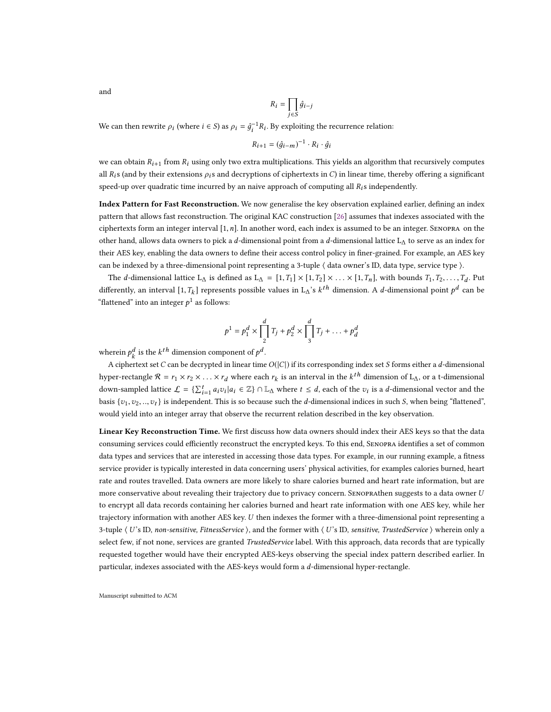$$
R_i = \prod_{j \in S} \hat{g}_{i-j}
$$

We can then rewrite  $\rho_i$  (where  $i \in S$ ) as  $\rho_i = \hat{g}_i^{-1}$  $R_i$ . By exploiting the recurrence relation:

$$
R_{i+1} = (\hat{g}_{i-m})^{-1} \cdot R_i \cdot \hat{g}_i
$$

we can obtain  $R_{i+1}$  from  $R_i$  using only two extra multiplications. This yields an algorithm that recursively computes all  $R_i$ s (and by their extensions  $\rho_i$ s and decryptions of ciphertexts in C) in linear time, thereby offering a significant speed-up over quadratic time incurred by an naive approach of computing all  $R_i$ s independently.

Index Pattern for Fast Reconstruction. We now generalise the key observation explained earlier, defining an index pattern that allows fast reconstruction. The original KAC construction [\[26\]](#page-19-9) assumes that indexes associated with the ciphertexts form an integer interval  $[1, n]$ . In another word, each index is assumed to be an integer. SENOPRA on the other hand, allows data owners to pick a d-dimensional point from a d-dimensional lattice L<sub>∆</sub> to serve as an index for their AES key, enabling the data owners to define their access control policy in finer-grained. For example, an AES key can be indexed by a three-dimensional point representing a 3-tuple ⟨ data owner's ID, data type, service type ⟩.

The d-dimensional lattice L<sub>∆</sub> is defined as L<sub>∆</sub> = [1, T<sub>1</sub>] × [1, T<sub>2</sub>] × ... × [1, T<sub>n</sub>], with bounds T<sub>1</sub>, T<sub>2</sub>, ..., T<sub>d</sub>. Put differently, an interval  $[1, T_k]$  represents possible values in L∆'s  $k^{th}$  dimension. A *d*-dimensional point  $p^d$  can be "flattened" into an integer  $p^1$  as follows:

$$
p^{1} = p_{1}^{d} \times \prod_{2}^{d} T_{j} + p_{2}^{d} \times \prod_{3}^{d} T_{j} + \ldots + p_{d}^{d}
$$

wherein  $p_k^a$  is the  $k^{th}$  dimension component of  $p^a$ .

A ciphertext set C can be decrypted in linear time  $O(|C|)$  if its corresponding index set S forms either a d-dimensional hyper-rectangle  $\mathcal{R} = r_1 \times r_2 \times \ldots \times r_d$  where each  $r_k$  is an interval in the  $k^{th}$  dimension of L<sub>∆</sub>, or a t-dimensional down-sampled lattice  $\mathcal{L} = \{\sum_{i=1}^{t} a_i v_i | a_i \in \mathbb{Z}\} \cap \mathbb{L}_{\Delta}$  where  $t \leq d$ , each of the  $v_i$  is a d-dimensional vector and the last  $\alpha$  is a d-dimensional vector and the last  $\alpha$  is a d-dimensional vector and th basis  $\{v_1, v_2, ..., v_t\}$  is independent. This is so because such the d-dimensional indices in such S, when being "flattened", would yield into an integer array that observe the recurrent relation described in the key observation.

Linear Key Reconstruction Time. We first discuss how data owners should index their AES keys so that the data consuming services could efficiently reconstruct the encrypted keys. To this end, Senopra identifies a set of common data types and services that are interested in accessing those data types. For example, in our running example, a fitness service provider is typically interested in data concerning users' physical activities, for examples calories burned, heart rate and routes travelled. Data owners are more likely to share calories burned and heart rate information, but are more conservative about revealing their trajectory due to privacy concern. SENOPRAthen suggests to a data owner U to encrypt all data records containing her calories burned and heart rate information with one AES key, while her trajectory information with another AES key. U then indexes the former with a three-dimensional point representing a 3-tuple  $\langle U$ 's ID, non-sensitive, FitnessService  $\rangle$ , and the former with  $\langle U$ 's ID, sensitive, TrustedService  $\rangle$  wherein only a select few, if not none, services are granted TrustedService label. With this approach, data records that are typically requested together would have their encrypted AES-keys observing the special index pattern described earlier. In particular, indexes associated with the AES-keys would form a d-dimensional hyper-rectangle.

Manuscript submitted to ACM

and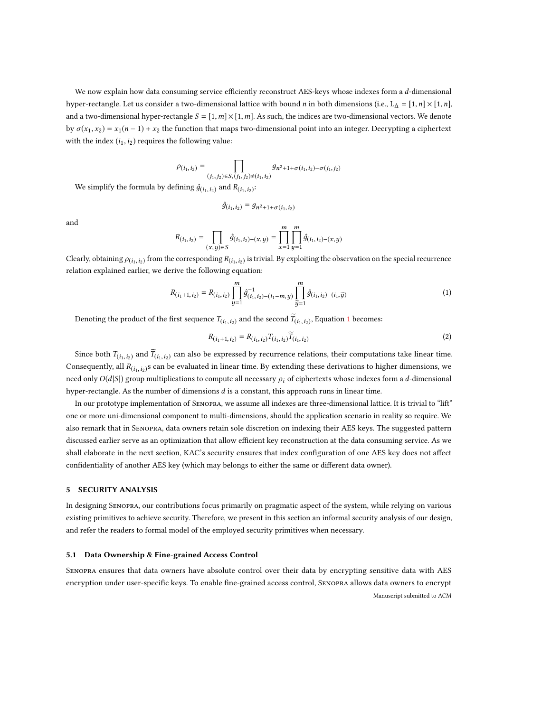We now explain how data consuming service efficiently reconstruct AES-keys whose indexes form a d-dimensional hyper-rectangle. Let us consider a two-dimensional lattice with bound n in both dimensions (i.e., L<sub>∆</sub> = [1, n] × [1, n], and a two-dimensional hyper-rectangle  $S = [1, m] \times [1, m]$ . As such, the indices are two-dimensional vectors. We denote by  $\sigma(x_1, x_2) = x_1(n-1) + x_2$  the function that maps two-dimensional point into an integer. Decrypting a ciphertext with the index  $(i_1,i_2)$  requires the following value:

$$
\rho_{(i_1, i_2)} = \prod_{(j_1, j_2) \in S, (j_1, j_2) \neq (i_1, i_2)} g_{n^2 + 1 + \sigma(i_1, i_2) - \sigma(j_1, j_2)}
$$

We simplify the formula by defining  $\hat{g}_{(i_1,i_2)}$  and  $R_{(i_1,i_2)}$ :

$$
\hat{g}_{(i_1, i_2)} = g_{n^2 + 1 + \sigma(i_1, i_2)}
$$

and

$$
R_{(i_1, i_2)} = \prod_{(x, y) \in S} \hat{g}_{(i_1, i_2) - (x, y)} = \prod_{x=1}^{m} \prod_{y=1}^{m} \hat{g}_{(i_1, i_2) - (x, y)}
$$

Clearly, obtaining  $\rho_{(i_1,i_2)}$  from the corresponding  $R_{(i_1,i_2)}$  is trivial. By exploiting the observation on the special recurrence relation explained earlier, we derive the following equation:

<span id="page-14-1"></span>
$$
R_{(i_1+1,i_2)} = R_{(i_1,i_2)} \prod_{y=1}^{m} \hat{g}_{(i_1,i_2)-(i_1-m,y)}^{-1} \prod_{\tilde{y}=1}^{m} \hat{g}_{(i_1,i_2)-(i_1,\tilde{y})}
$$
(1)

Denoting the product of the first sequence  $T_{(i_1,i_2)}$  $T_{(i_1,i_2)}$  $T_{(i_1,i_2)}$  and the second  $T_{(i_1,i_2)}$ , Equation 1 becomes:

$$
R_{(i_1+1,i_2)} = R_{(i_1,i_2)} T_{(i_1,i_2)} T_{(i_1,i_2)}
$$
\n(2)

Since both  $T_{(i_1,i_2)}$  and  $T_{(i_1,i_2)}$  can also be expressed by recurrence relations, their computations take linear time. Consequently, all  $R(i_1, i_2)$ s can be evaluated in linear time. By extending these derivations to higher dimensions, we need only  $O(d|S|)$  group multiplications to compute all necessary  $\rho_i$  of ciphertexts whose indexes form a d-dimensional hyper-rectangle. As the number of dimensions d is a constant, this approach runs in linear time.

In our prototype implementation of Senopra, we assume all indexes are three-dimensional lattice. It is trivial to "lift" one or more uni-dimensional component to multi-dimensions, should the application scenario in reality so require. We also remark that in Senopra, data owners retain sole discretion on indexing their AES keys. The suggested pattern discussed earlier serve as an optimization that allow efficient key reconstruction at the data consuming service. As we shall elaborate in the next section, KAC's security ensures that index configuration of one AES key does not affect confidentiality of another AES key (which may belongs to either the same or different data owner).

## <span id="page-14-0"></span>5 SECURITY ANALYSIS

In designing Senopra, our contributions focus primarily on pragmatic aspect of the system, while relying on various existing primitives to achieve security. Therefore, we present in this section an informal security analysis of our design, and refer the readers to formal model of the employed security primitives when necessary.

#### 5.1 Data Ownership & Fine-grained Access Control

Senopra ensures that data owners have absolute control over their data by encrypting sensitive data with AES encryption under user-specific keys. To enable fine-grained access control, Senopra allows data owners to encrypt Manuscript submitted to ACM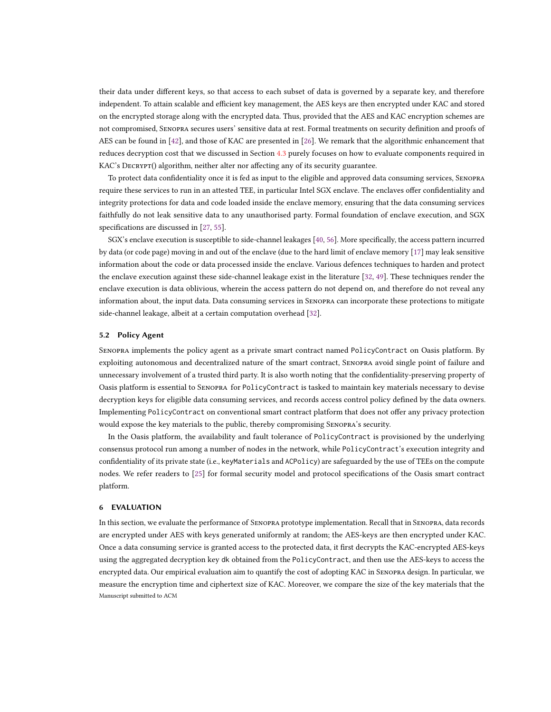their data under different keys, so that access to each subset of data is governed by a separate key, and therefore independent. To attain scalable and efficient key management, the AES keys are then encrypted under KAC and stored on the encrypted storage along with the encrypted data. Thus, provided that the AES and KAC encryption schemes are not compromised, Senopra secures users' sensitive data at rest. Formal treatments on security definition and proofs of AES can be found in [\[42\]](#page-20-18), and those of KAC are presented in [\[26\]](#page-19-9). We remark that the algorithmic enhancement that reduces decryption cost that we discussed in Section [4.3](#page-12-0) purely focuses on how to evaluate components required in KAC's Decrypt() algorithm, neither alter nor affecting any of its security guarantee.

To protect data confidentiality once it is fed as input to the eligible and approved data consuming services, Senopra require these services to run in an attested TEE, in particular Intel SGX enclave. The enclaves offer confidentiality and integrity protections for data and code loaded inside the enclave memory, ensuring that the data consuming services faithfully do not leak sensitive data to any unauthorised party. Formal foundation of enclave execution, and SGX specifications are discussed in [\[27,](#page-19-27) [55\]](#page-20-19).

SGX's enclave execution is susceptible to side-channel leakages [\[40,](#page-20-16) [56\]](#page-20-17). More specifically, the access pattern incurred by data (or code page) moving in and out of the enclave (due to the hard limit of enclave memory [\[17\]](#page-19-28) may leak sensitive information about the code or data processed inside the enclave. Various defences techniques to harden and protect the enclave execution against these side-channel leakage exist in the literature [\[32,](#page-19-29) [49\]](#page-20-20). These techniques render the enclave execution is data oblivious, wherein the access pattern do not depend on, and therefore do not reveal any information about, the input data. Data consuming services in Senopra can incorporate these protections to mitigate side-channel leakage, albeit at a certain computation overhead [\[32\]](#page-19-29).

## 5.2 Policy Agent

Senopra implements the policy agent as a private smart contract named PolicyContract on Oasis platform. By exploiting autonomous and decentralized nature of the smart contract, Senopra avoid single point of failure and unnecessary involvement of a trusted third party. It is also worth noting that the confidentiality-preserving property of Oasis platform is essential to Senopra for PolicyContract is tasked to maintain key materials necessary to devise decryption keys for eligible data consuming services, and records access control policy defined by the data owners. Implementing PolicyContract on conventional smart contract platform that does not offer any privacy protection would expose the key materials to the public, thereby compromising Senopra's security.

In the Oasis platform, the availability and fault tolerance of PolicyContract is provisioned by the underlying consensus protocol run among a number of nodes in the network, while PolicyContract's execution integrity and confidentiality of its private state (i.e., keyMaterials and ACPolicy) are safeguarded by the use of TEEs on the compute nodes. We refer readers to [\[25\]](#page-19-8) for formal security model and protocol specifications of the Oasis smart contract platform.

## <span id="page-15-0"></span>6 EVALUATION

In this section, we evaluate the performance of Senopra prototype implementation. Recall that in Senopra, data records are encrypted under AES with keys generated uniformly at random; the AES-keys are then encrypted under KAC. Once a data consuming service is granted access to the protected data, it first decrypts the KAC-encrypted AES-keys using the aggregated decryption key dk obtained from the PolicyContract, and then use the AES-keys to access the encrypted data. Our empirical evaluation aim to quantify the cost of adopting KAC in Senopra design. In particular, we measure the encryption time and ciphertext size of KAC. Moreover, we compare the size of the key materials that the Manuscript submitted to ACM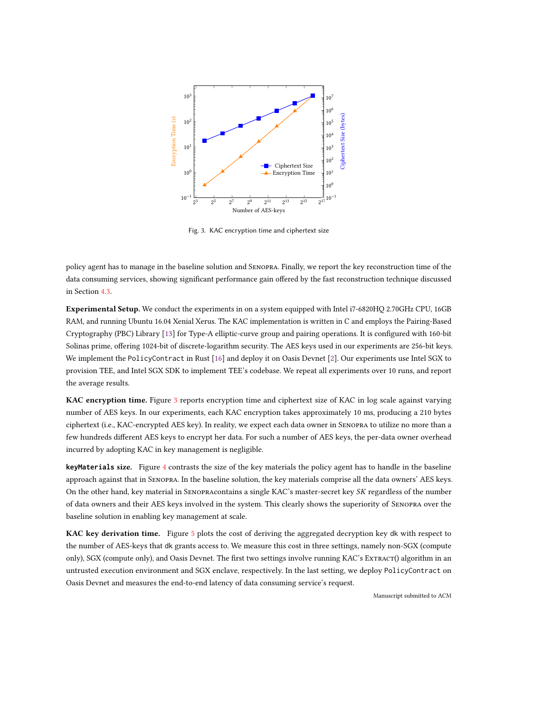<span id="page-16-0"></span>

Fig. 3. KAC encryption time and ciphertext size

policy agent has to manage in the baseline solution and Senopra. Finally, we report the key reconstruction time of the data consuming services, showing significant performance gain offered by the fast reconstruction technique discussed in Section [4.3.](#page-12-0)

Experimental Setup. We conduct the experiments in on a system equipped with Intel i7-6820HQ 2.70GHz CPU, 16GB RAM, and running Ubuntu 16.04 Xenial Xerus. The KAC implementation is written in C and employs the Pairing-Based Cryptography (PBC) Library [\[13\]](#page-19-30) for Type-A elliptic-curve group and pairing operations. It is configured with 160-bit Solinas prime, offering 1024-bit of discrete-logarithm security. The AES keys used in our experiments are 256-bit keys. We implement the PolicyContract in Rust [\[16\]](#page-19-31) and deploy it on Oasis Devnet [\[2\]](#page-19-24). Our experiments use Intel SGX to provision TEE, and Intel SGX SDK to implement TEE's codebase. We repeat all experiments over 10 runs, and report the average results.

KAC encryption time. Figure [3](#page-16-0) reports encryption time and ciphertext size of KAC in log scale against varying number of AES keys. In our experiments, each KAC encryption takes approximately 10 ms, producing a 210 bytes ciphertext (i.e., KAC-encrypted AES key). In reality, we expect each data owner in Senopra to utilize no more than a few hundreds different AES keys to encrypt her data. For such a number of AES keys, the per-data owner overhead incurred by adopting KAC in key management is negligible.

**keyMaterials** size. Figure [4](#page-17-0) contrasts the size of the key materials the policy agent has to handle in the baseline approach against that in Senopra. In the baseline solution, the key materials comprise all the data owners' AES keys. On the other hand, key material in Senopracontains a single KAC's master-secret key SK regardless of the number of data owners and their AES keys involved in the system. This clearly shows the superiority of Senopra over the baseline solution in enabling key management at scale.

KAC key derivation time. Figure [5](#page-17-1) plots the cost of deriving the aggregated decryption key dk with respect to the number of AES-keys that dk grants access to. We measure this cost in three settings, namely non-SGX (compute only), SGX (compute only), and Oasis Devnet. The first two settings involve running KAC's ExTRACT() algorithm in an untrusted execution environment and SGX enclave, respectively. In the last setting, we deploy PolicyContract on Oasis Devnet and measures the end-to-end latency of data consuming service's request.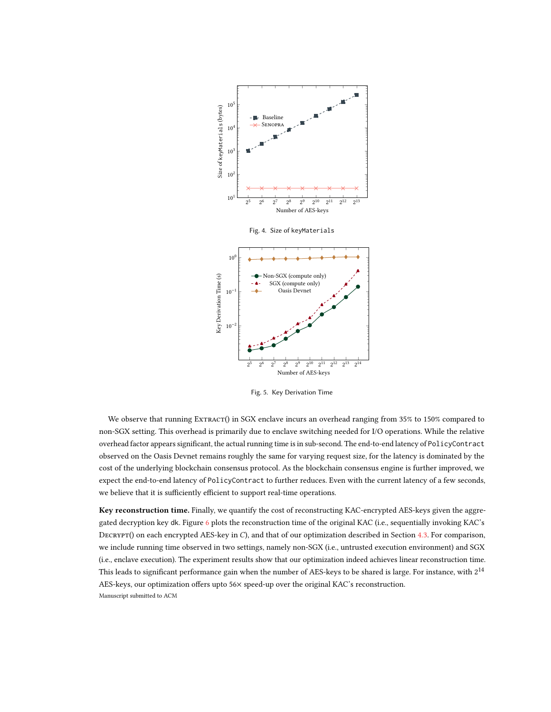<span id="page-17-0"></span>

Fig. 5. Key Derivation Time

<span id="page-17-1"></span>We observe that running ExTRACT() in SGX enclave incurs an overhead ranging from 35% to 150% compared to non-SGX setting. This overhead is primarily due to enclave switching needed for I/O operations. While the relative overhead factor appears significant, the actual running time is in sub-second. The end-to-end latency of PolicyContract observed on the Oasis Devnet remains roughly the same for varying request size, for the latency is dominated by the cost of the underlying blockchain consensus protocol. As the blockchain consensus engine is further improved, we expect the end-to-end latency of PolicyContract to further reduces. Even with the current latency of a few seconds, we believe that it is sufficiently efficient to support real-time operations.

Key reconstruction time. Finally, we quantify the cost of reconstructing KAC-encrypted AES-keys given the aggregated decryption key dk. Figure [6](#page-18-1) plots the reconstruction time of the original KAC (i.e., sequentially invoking KAC's DECRYPT() on each encrypted AES-key in C), and that of our optimization described in Section [4.3.](#page-12-0) For comparison, we include running time observed in two settings, namely non-SGX (i.e., untrusted execution environment) and SGX (i.e., enclave execution). The experiment results show that our optimization indeed achieves linear reconstruction time. This leads to significant performance gain when the number of AES-keys to be shared is large. For instance, with  $2^{14}\,$ AES-keys, our optimization offers upto 56× speed-up over the original KAC's reconstruction. Manuscript submitted to ACM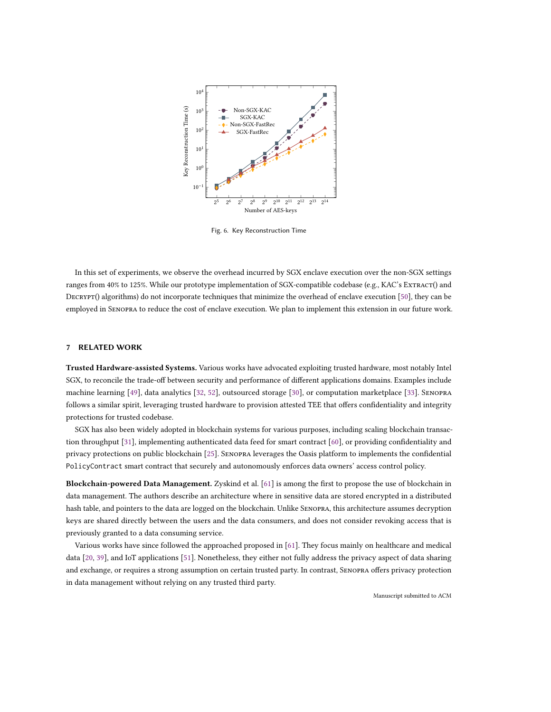<span id="page-18-1"></span>

Fig. 6. Key Reconstruction Time

In this set of experiments, we observe the overhead incurred by SGX enclave execution over the non-SGX settings ranges from 40% to 125%. While our prototype implementation of SGX-compatible codebase (e.g., KAC's Extract() and DECRYPT() algorithms) do not incorporate techniques that minimize the overhead of enclave execution [\[50\]](#page-20-21), they can be employed in Senopra to reduce the cost of enclave execution. We plan to implement this extension in our future work.

# <span id="page-18-0"></span>7 RELATED WORK

Trusted Hardware-assisted Systems. Various works have advocated exploiting trusted hardware, most notably Intel SGX, to reconcile the trade-off between security and performance of different applications domains. Examples include machine learning [\[49\]](#page-20-20), data analytics [\[32,](#page-19-29) [52\]](#page-20-22), outsourced storage [\[30\]](#page-19-32), or computation marketplace [\[33\]](#page-19-33). Senopra follows a similar spirit, leveraging trusted hardware to provision attested TEE that offers confidentiality and integrity protections for trusted codebase.

SGX has also been widely adopted in blockchain systems for various purposes, including scaling blockchain transaction throughput [\[31\]](#page-19-34), implementing authenticated data feed for smart contract [\[60\]](#page-20-23), or providing confidentiality and privacy protections on public blockchain [\[25\]](#page-19-8). Senopra leverages the Oasis platform to implements the confidential PolicyContract smart contract that securely and autonomously enforces data owners' access control policy.

Blockchain-powered Data Management. Zyskind et al. [\[61\]](#page-20-4) is among the first to propose the use of blockchain in data management. The authors describe an architecture where in sensitive data are stored encrypted in a distributed hash table, and pointers to the data are logged on the blockchain. Unlike Senopra, this architecture assumes decryption keys are shared directly between the users and the data consumers, and does not consider revoking access that is previously granted to a data consuming service.

Various works have since followed the approached proposed in [\[61\]](#page-20-4). They focus mainly on healthcare and medical data [\[20,](#page-19-35) [39\]](#page-20-24), and IoT applications [\[51\]](#page-20-25). Nonetheless, they either not fully address the privacy aspect of data sharing and exchange, or requires a strong assumption on certain trusted party. In contrast, Senopra offers privacy protection in data management without relying on any trusted third party.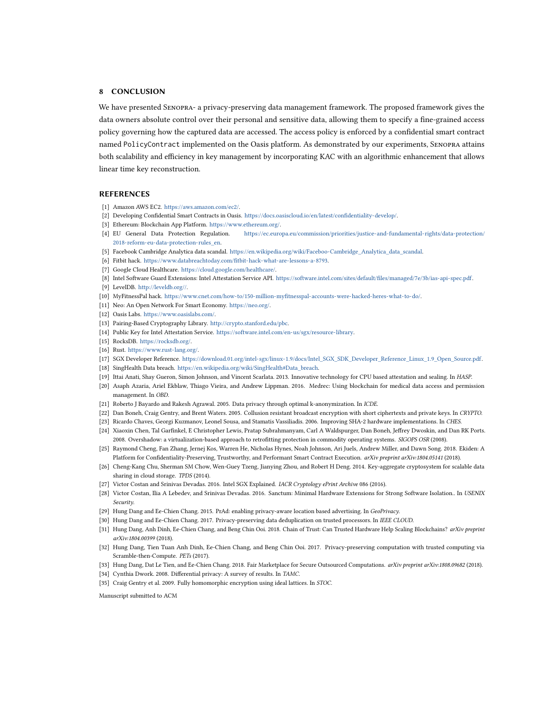# <span id="page-19-10"></span>8 CONCLUSION

We have presented Senopra- a privacy-preserving data management framework. The proposed framework gives the data owners absolute control over their personal and sensitive data, allowing them to specify a fine-grained access policy governing how the captured data are accessed. The access policy is enforced by a confidential smart contract named PolicyContract implemented on the Oasis platform. As demonstrated by our experiments, Senopra attains both scalability and efficiency in key management by incorporating KAC with an algorithmic enhancement that allows linear time key reconstruction.

#### REFERENCES

- <span id="page-19-16"></span>[1] Amazon AWS EC2. [https://aws.amazon.com/ec2/.](https://aws.amazon.com/ec2/)
- <span id="page-19-24"></span>[2] Developing Confidential Smart Contracts in Oasis. [https://docs.oasiscloud.io/en/latest/confidentiality-develop/.](https://docs.oasiscloud.io/en/latest/confidentiality-develop/)
- <span id="page-19-15"></span><span id="page-19-3"></span>[3] Ethereum: Blockchain App Platform. [https://www.ethereum.org/.](https://www.ethereum.org/)
- [4] EU General Data Protection Regulation. [https://ec.europa.eu/commission/priorities/justice-and-fundamental-rights/data-protection/](https://ec.europa.eu/commission/priorities/justice-and-fundamental-rights/data-protection/2018-reform-eu-data-protection-rules_en) [2018-reform-eu-data-protection-rules\\_en.](https://ec.europa.eu/commission/priorities/justice-and-fundamental-rights/data-protection/2018-reform-eu-data-protection-rules_en)
- <span id="page-19-1"></span>[5] Facebook Cambridge Analytica data scandal. [https://en.wikipedia.org/wiki/Faceboo-Cambridge\\_Analytica\\_data\\_scandal.](https://en.wikipedia.org/wiki/Faceboo-Cambridge_Analytica_data_scandal)
- <span id="page-19-22"></span>[6] Fitbit hack. [https://www.databreachtoday.com/fitbit-hack-what-are-lessons-a-8793.](https://www.databreachtoday.com/fitbit-hack-what-are-lessons-a-8793)
- <span id="page-19-21"></span>[7] Google Cloud Healthcare. [https://cloud.google.com/healthcare/.](https://cloud.google.com/healthcare/)
- <span id="page-19-25"></span>[8] Intel Software Guard Extensions: Intel Attestation Service API. [https://software.intel.com/sites/default/files/managed/7e/3b/ias-api-spec.pdf.](https://software.intel.com/sites/default/files/managed/7e/3b/ias-api-spec.pdf)
- <span id="page-19-19"></span>[9] LevelDB. [http://leveldb.org//.](http://leveldb.org//)
- <span id="page-19-23"></span>[10] MyFitnessPal hack. [https://www.cnet.com/how-to/150-million-myfitnesspal-accounts-were-hacked-heres-what-to-do/.](https://www.cnet.com/how-to/150-million-myfitnesspal-accounts-were-hacked-heres-what-to-do/)
- <span id="page-19-14"></span>[11] Neo: An Open Network For Smart Economy. [https://neo.org/.](https://neo.org/)
- <span id="page-19-7"></span>[12] Oasis Labs. [https://www.oasislabs.com/.](https://www.oasislabs.com/)
- <span id="page-19-30"></span>[13] Pairing-Based Cryptography Library. [http://crypto.stanford.edu/pbc.](http://crypto.stanford.edu/pbc)
- <span id="page-19-26"></span>[14] Public Key for Intel Attestation Service. [https://software.intel.com/en-us/sgx/resource-library.](https://software.intel.com/en-us/sgx/resource-library)
- <span id="page-19-20"></span>[15] RocksDB. [https://rocksdb.org/.](https://rocksdb.org/)
- <span id="page-19-31"></span>[16] Rust. [https://www.rust-lang.org/.](https://www.rust-lang.org/)
- <span id="page-19-28"></span>[17] SGX Developer Reference. [https://download.01.org/intel-sgx/linux-1.9/docs/Intel\\_SGX\\_SDK\\_Developer\\_Reference\\_Linux\\_1.9\\_Open\\_Source.pdf.](https://download.01.org/intel-sgx/linux-1.9/docs/Intel_SGX_SDK_Developer_Reference_Linux_1.9_Open_Source.pdf)
- <span id="page-19-2"></span>[18] SingHealth Data breach. [https://en.wikipedia.org/wiki/SingHealth#Data\\_breach.](https://en.wikipedia.org/wiki/SingHealth#Data_breach)
- <span id="page-19-13"></span>[19] Ittai Anati, Shay Gueron, Simon Johnson, and Vincent Scarlata. 2013. Innovative technology for CPU based attestation and sealing. In HASP.
- <span id="page-19-35"></span>[20] Asaph Azaria, Ariel Ekblaw, Thiago Vieira, and Andrew Lippman. 2016. Medrec: Using blockchain for medical data access and permission management. In OBD.
- <span id="page-19-4"></span>[21] Roberto J Bayardo and Rakesh Agrawal. 2005. Data privacy through optimal k-anonymization. In ICDE.
- <span id="page-19-17"></span>[22] Dan Boneh, Craig Gentry, and Brent Waters. 2005. Collusion resistant broadcast encryption with short ciphertexts and private keys. In CRYPTO.
- <span id="page-19-18"></span><span id="page-19-12"></span>[23] Ricardo Chaves, Georgi Kuzmanov, Leonel Sousa, and Stamatis Vassiliadis. 2006. Improving SHA-2 hardware implementations. In CHES.
- [24] Xiaoxin Chen, Tal Garfinkel, E Christopher Lewis, Pratap Subrahmanyam, Carl A Waldspurger, Dan Boneh, Jeffrey Dwoskin, and Dan RK Ports. 2008. Overshadow: a virtualization-based approach to retrofitting protection in commodity operating systems. SIGOPS OSR (2008).
- <span id="page-19-8"></span>[25] Raymond Cheng, Fan Zhang, Jernej Kos, Warren He, Nicholas Hynes, Noah Johnson, Ari Juels, Andrew Miller, and Dawn Song. 2018. Ekiden: A Platform for Confidentiality-Preserving, Trustworthy, and Performant Smart Contract Execution. arXiv preprint arXiv:1804.05141 (2018).
- <span id="page-19-9"></span>[26] Cheng-Kang Chu, Sherman SM Chow, Wen-Guey Tzeng, Jianying Zhou, and Robert H Deng. 2014. Key-aggregate cryptosystem for scalable data sharing in cloud storage. TPDS (2014).
- <span id="page-19-27"></span>[27] Victor Costan and Srinivas Devadas. 2016. Intel SGX Explained. IACR Cryptology ePrint Archive 086 (2016).
- <span id="page-19-11"></span>[28] Victor Costan, Ilia A Lebedev, and Srinivas Devadas. 2016. Sanctum: Minimal Hardware Extensions for Strong Software Isolation.. In USENIX Security.
- <span id="page-19-0"></span>[29] Hung Dang and Ee-Chien Chang. 2015. PrAd: enabling privacy-aware location based advertising. In GeoPrivacy.
- <span id="page-19-32"></span>[30] Hung Dang and Ee-Chien Chang. 2017. Privacy-preserving data deduplication on trusted processors. In IEEE CLOUD.
- <span id="page-19-34"></span>[31] Hung Dang, Anh Dinh, Ee-Chien Chang, and Beng Chin Ooi. 2018. Chain of Trust: Can Trusted Hardware Help Scaling Blockchains? arXiv preprint arXiv:1804.00399 (2018).
- <span id="page-19-29"></span>[32] Hung Dang, Tien Tuan Anh Dinh, Ee-Chien Chang, and Beng Chin Ooi. 2017. Privacy-preserving computation with trusted computing via Scramble-then-Compute. PETs (2017).
- <span id="page-19-33"></span>[33] Hung Dang, Dat Le Tien, and Ee-Chien Chang. 2018. Fair Marketplace for Secure Outsourced Computations. arXiv preprint arXiv:1808.09682 (2018).
- <span id="page-19-5"></span>[34] Cynthia Dwork. 2008. Differential privacy: A survey of results. In TAMC.
- <span id="page-19-6"></span>[35] Craig Gentry et al. 2009. Fully homomorphic encryption using ideal lattices. In STOC.